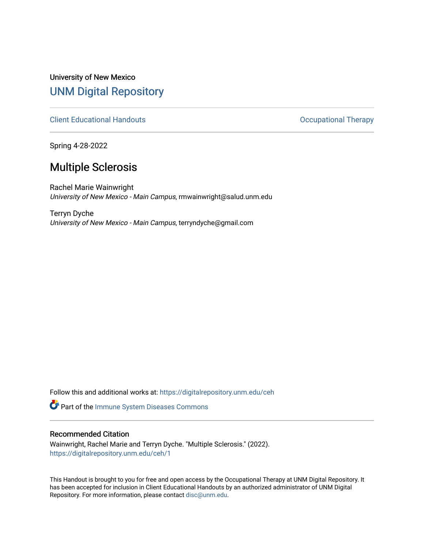University of New Mexico [UNM Digital Repository](https://digitalrepository.unm.edu/) 

[Client Educational Handouts](https://digitalrepository.unm.edu/ceh) **Client Educational Handouts Occupational Therapy** 

Spring 4-28-2022

# Multiple Sclerosis

Rachel Marie Wainwright University of New Mexico - Main Campus, rmwainwright@salud.unm.edu

Terryn Dyche University of New Mexico - Main Campus, terryndyche@gmail.com

Follow this and additional works at: [https://digitalrepository.unm.edu/ceh](https://digitalrepository.unm.edu/ceh?utm_source=digitalrepository.unm.edu%2Fceh%2F1&utm_medium=PDF&utm_campaign=PDFCoverPages)

Part of the [Immune System Diseases Commons](http://network.bepress.com/hgg/discipline/933?utm_source=digitalrepository.unm.edu%2Fceh%2F1&utm_medium=PDF&utm_campaign=PDFCoverPages) 

#### Recommended Citation

Wainwright, Rachel Marie and Terryn Dyche. "Multiple Sclerosis." (2022). [https://digitalrepository.unm.edu/ceh/1](https://digitalrepository.unm.edu/ceh/1?utm_source=digitalrepository.unm.edu%2Fceh%2F1&utm_medium=PDF&utm_campaign=PDFCoverPages) 

This Handout is brought to you for free and open access by the Occupational Therapy at UNM Digital Repository. It has been accepted for inclusion in Client Educational Handouts by an authorized administrator of UNM Digital Repository. For more information, please contact [disc@unm.edu](mailto:disc@unm.edu).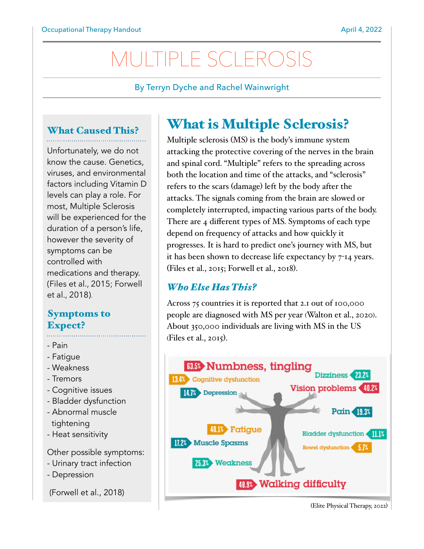# MULTIPLE SCLEROSIS

#### By Terryn Dyche and Rachel Wainwright

## What Caused This?

Unfortunately, we do not know the cause. Genetics, viruses, and environmental factors including Vitamin D levels can play a role. For most, Multiple Sclerosis will be experienced for the duration of a person's life, however the severity of symptoms can be controlled with medications and therapy. (Files et al., 2015; Forwell et al., 2018).

# Symptoms to Expect?

- Pain
- Fatigue
- Weakness
- Tremors
- Cognitive issues
- Bladder dysfunction
- Abnormal muscle tightening
- Heat sensitivity

Other possible symptoms:

- Urinary tract infection
- Depression

(Forwell et al., 2018)

# What is Multiple Sclerosis?

Multiple sclerosis (MS) is the body's immune system attacking the protective covering of the nerves in the brain and spinal cord. "Multiple" refers to the spreading across both the location and time of the attacks, and "sclerosis" refers to the scars (damage) left by the body after the attacks. The signals coming from the brain are slowed or completely interrupted, impacting various parts of the body. There are 4 different types of MS. Symptoms of each type depend on frequency of attacks and how quickly it progresses. It is hard to predict one's journey with MS, but it has been shown to decrease life expectancy by 7-14 years. (Files et al., 2015; Forwell et al., 2018).

# *Who Else Has This?*

Across 75 countries it is reported that 2.1 out of 100,000 people are diagnosed with MS per year (Walton et al., 2020). About 350,000 individuals are living with MS in the US (Files et al., 2015).



(Elite Physical Therapy, 2022)